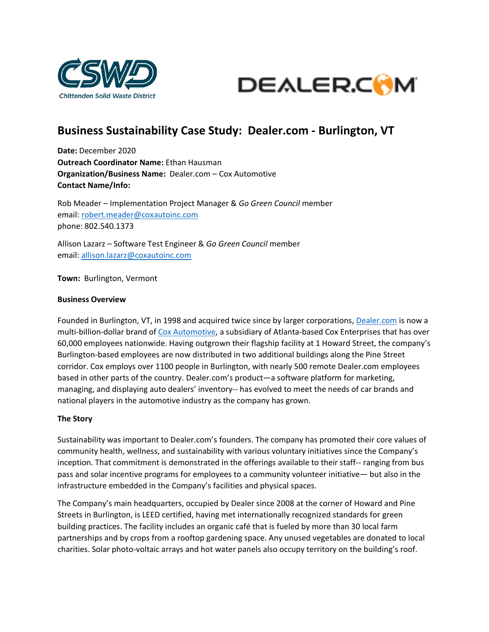



# **Business Sustainability Case Study: Dealer.com - Burlington, VT**

**Date:** December 2020 **Outreach Coordinator Name:** Ethan Hausman **Organization/Business Name:** Dealer.com – Cox Automotive **Contact Name/Info:**

Rob Meader – Implementation Project Manager & *Go Green Council* member email: [robert.meader@coxautoinc.com](mailto:robert.meader@dealer.com) phone: 802.540.1373

Allison Lazarz – Software Test Engineer & *Go Green Council* member email: [allison.lazarz@coxautoinc.com](mailto:allison.lazarz@coxautoinc.com)

**Town:** Burlington, Vermont

#### **Business Overview**

Founded in Burlington, VT, in 1998 and acquired twice since by larger corporations, [Dealer.com](https://www.dealer.com/) is now a multi-billion-dollar brand of [Cox Automotive,](https://www.coxautoinc.com/) a subsidiary of Atlanta-based Cox Enterprises that has over 60,000 employees nationwide. Having outgrown their flagship facility at 1 Howard Street, the company's Burlington-based employees are now distributed in two additional buildings along the Pine Street corridor. Cox employs over 1100 people in Burlington, with nearly 500 remote Dealer.com employees based in other parts of the country. Dealer.com's product—a software platform for marketing, managing, and displaying auto dealers' inventory-- has evolved to meet the needs of car brands and national players in the automotive industry as the company has grown.

#### **The Story**

Sustainability was important to Dealer.com's founders. The company has promoted their core values of community health, wellness, and sustainability with various voluntary initiatives since the Company's inception. That commitment is demonstrated in the offerings available to their staff-- ranging from bus pass and solar incentive programs for employees to a community volunteer initiative— but also in the infrastructure embedded in the Company's facilities and physical spaces.

The Company's main headquarters, occupied by Dealer since 2008 at the corner of Howard and Pine Streets in Burlington, is LEED certified, having met internationally recognized standards for green building practices. The facility includes an organic café that is fueled by more than 30 local farm partnerships and by crops from a rooftop gardening space. Any unused vegetables are donated to local charities. Solar photo-voltaic arrays and hot water panels also occupy territory on the building's roof.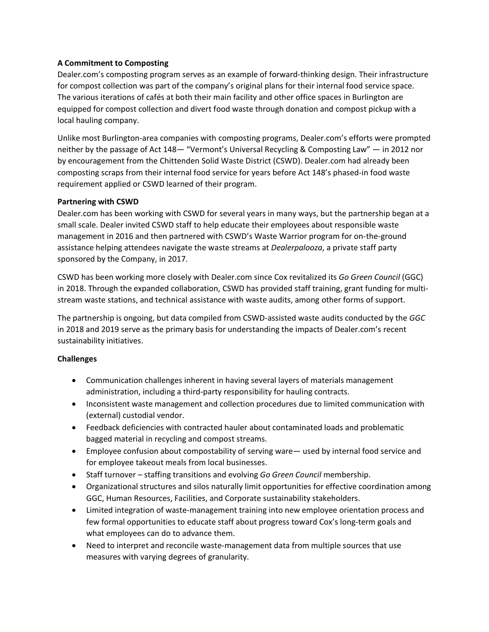# **A Commitment to Composting**

Dealer.com's composting program serves as an example of forward-thinking design. Their infrastructure for compost collection was part of the company's original plans for their internal food service space. The various iterations of cafés at both their main facility and other office spaces in Burlington are equipped for compost collection and divert food waste through donation and compost pickup with a local hauling company.

Unlike most Burlington-area companies with composting programs, Dealer.com's efforts were prompted neither by the passage of Act 148— "Vermont's Universal Recycling & Composting Law" — in 2012 nor by encouragement from the Chittenden Solid Waste District (CSWD). Dealer.com had already been composting scraps from their internal food service for years before Act 148's phased-in food waste requirement applied or CSWD learned of their program.

#### **Partnering with CSWD**

Dealer.com has been working with CSWD for several years in many ways, but the partnership began at a small scale. Dealer invited CSWD staff to help educate their employees about responsible waste management in 2016 and then partnered with CSWD's Waste Warrior program for on-the-ground assistance helping attendees navigate the waste streams at *Dealerpalooza*, a private staff party sponsored by the Company, in 2017.

CSWD has been working more closely with Dealer.com since Cox revitalized its *Go Green Council* (GGC) in 2018. Through the expanded collaboration, CSWD has provided staff training, grant funding for multistream waste stations, and technical assistance with waste audits, among other forms of support.

The partnership is ongoing, but data compiled from CSWD-assisted waste audits conducted by the *GGC* in 2018 and 2019 serve as the primary basis for understanding the impacts of Dealer.com's recent sustainability initiatives.

#### **Challenges**

- Communication challenges inherent in having several layers of materials management administration, including a third-party responsibility for hauling contracts.
- Inconsistent waste management and collection procedures due to limited communication with (external) custodial vendor.
- Feedback deficiencies with contracted hauler about contaminated loads and problematic bagged material in recycling and compost streams.
- Employee confusion about compostability of serving ware— used by internal food service and for employee takeout meals from local businesses.
- Staff turnover staffing transitions and evolving *Go Green Council* membership.
- Organizational structures and silos naturally limit opportunities for effective coordination among GGC, Human Resources, Facilities, and Corporate sustainability stakeholders.
- Limited integration of waste-management training into new employee orientation process and few formal opportunities to educate staff about progress toward Cox's long-term goals and what employees can do to advance them.
- Need to interpret and reconcile waste-management data from multiple sources that use measures with varying degrees of granularity.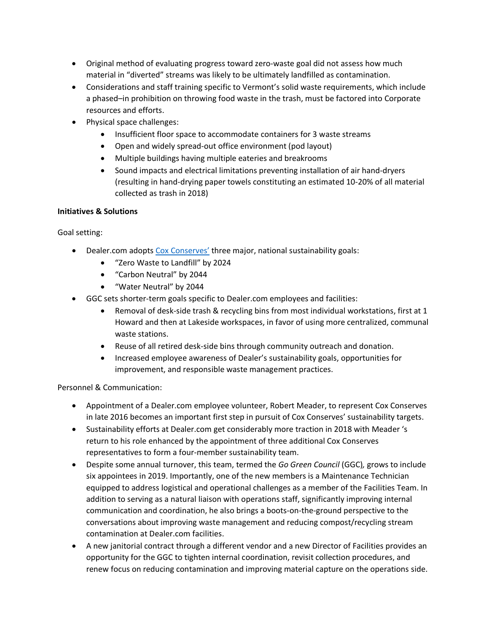- Original method of evaluating progress toward zero-waste goal did not assess how much material in "diverted" streams was likely to be ultimately landfilled as contamination.
- Considerations and staff training specific to Vermont's solid waste requirements, which include a phased–in prohibition on throwing food waste in the trash, must be factored into Corporate resources and efforts.
- Physical space challenges:
	- Insufficient floor space to accommodate containers for 3 waste streams
	- Open and widely spread-out office environment (pod layout)
	- Multiple buildings having multiple eateries and breakrooms
	- Sound impacts and electrical limitations preventing installation of air hand-dryers (resulting in hand-drying paper towels constituting an estimated 10-20% of all material collected as trash in 2018)

# **Initiatives & Solutions**

Goal setting:

- Dealer.com adopts [Cox Conserves'](https://www.coxenterprises.com/cox-conserves) three major, national sustainability goals:
	- "Zero Waste to Landfill" by 2024
	- "Carbon Neutral" by 2044
	- "Water Neutral" by 2044
- GGC sets shorter-term goals specific to Dealer.com employees and facilities:
	- Removal of desk-side trash & recycling bins from most individual workstations, first at 1 Howard and then at Lakeside workspaces, in favor of using more centralized, communal waste stations.
	- Reuse of all retired desk-side bins through community outreach and donation.
	- Increased employee awareness of Dealer's sustainability goals, opportunities for improvement, and responsible waste management practices.

# Personnel & Communication:

- Appointment of a Dealer.com employee volunteer, Robert Meader, to represent Cox Conserves in late 2016 becomes an important first step in pursuit of Cox Conserves' sustainability targets.
- Sustainability efforts at Dealer.com get considerably more traction in 2018 with Meader 's return to his role enhanced by the appointment of three additional Cox Conserves representatives to form a four-member sustainability team.
- Despite some annual turnover, this team, termed the *Go Green Council* (GGC)*,* grows to include six appointees in 2019. Importantly, one of the new members is a Maintenance Technician equipped to address logistical and operational challenges as a member of the Facilities Team. In addition to serving as a natural liaison with operations staff, significantly improving internal communication and coordination, he also brings a boots-on-the-ground perspective to the conversations about improving waste management and reducing compost/recycling stream contamination at Dealer.com facilities.
- A new janitorial contract through a different vendor and a new Director of Facilities provides an opportunity for the GGC to tighten internal coordination, revisit collection procedures, and renew focus on reducing contamination and improving material capture on the operations side.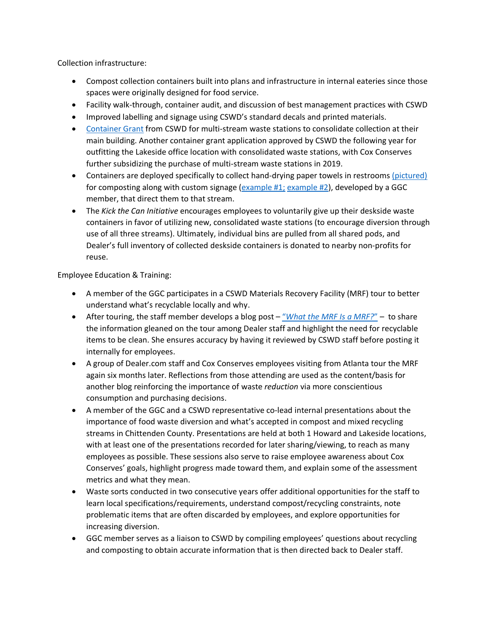Collection infrastructure:

- Compost collection containers built into plans and infrastructure in internal eateries since those spaces were originally designed for food service.
- Facility walk-through, container audit, and discussion of best management practices with CSWD
- Improved labelling and signage using CSWD's standard decals and printed materials.
- [Container Grant](https://cswd.net/grants-and-funding/container-grants/) from CSWD for multi-stream waste stations to consolidate collection at their main building. Another container grant application approved by CSWD the following year for outfitting the Lakeside office location with consolidated waste stations, with Cox Conserves further subsidizing the purchase of multi-stream waste stations in 2019.
- Containers are deployed specifically to collect hand-drying paper towels in restrooms [\(pictured\)](https://cswd.net/wp-content/uploads/restroom-paper-towel-collection-setup.jpg) for composting along with custom signage [\(example #1;](https://cswd.net/paper-towels-are-compostable-with-logo-4/) [example #2\)](https://cswd.net/paper-towels-only-png-3/), developed by a GGC member, that direct them to that stream.
- The *Kick the Can Initiative* encourages employees to voluntarily give up their deskside waste containers in favor of utilizing new, consolidated waste stations (to encourage diversion through use of all three streams). Ultimately, individual bins are pulled from all shared pods, and Dealer's full inventory of collected deskside containers is donated to nearby non-profits for reuse.

# Employee Education & Training:

- A member of the GGC participates in a CSWD Materials Recovery Facility (MRF) tour to better understand what's recyclable locally and why.
- After touring, the staff member develops a blog post "*[What the MRF Is a MRF?](https://cswd.net/mrf-blog-post/)*" to share the information gleaned on the tour among Dealer staff and highlight the need for recyclable items to be clean. She ensures accuracy by having it reviewed by CSWD staff before posting it internally for employees.
- A group of Dealer.com staff and Cox Conserves employees visiting from Atlanta tour the MRF again six months later. Reflections from those attending are used as the content/basis for another blog reinforcing the importance of waste *reduction* via more conscientious consumption and purchasing decisions.
- A member of the GGC and a CSWD representative co-lead internal presentations about the importance of food waste diversion and what's accepted in compost and mixed recycling streams in Chittenden County. Presentations are held at both 1 Howard and Lakeside locations, with at least one of the presentations recorded for later sharing/viewing, to reach as many employees as possible. These sessions also serve to raise employee awareness about Cox Conserves' goals, highlight progress made toward them, and explain some of the assessment metrics and what they mean.
- Waste sorts conducted in two consecutive years offer additional opportunities for the staff to learn local specifications/requirements, understand compost/recycling constraints, note problematic items that are often discarded by employees, and explore opportunities for increasing diversion.
- GGC member serves as a liaison to CSWD by compiling employees' questions about recycling and composting to obtain accurate information that is then directed back to Dealer staff.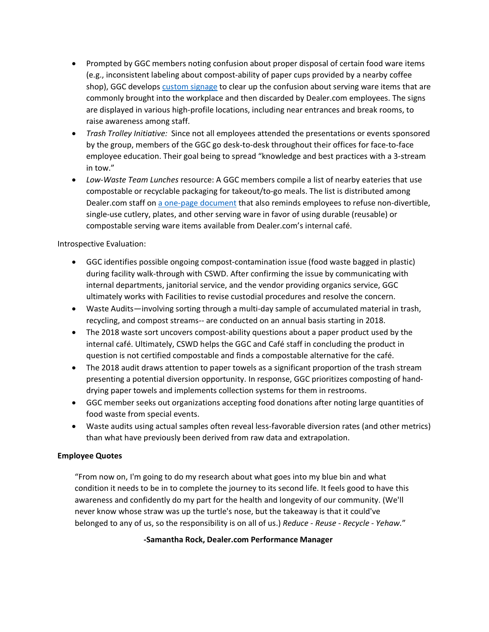- Prompted by GGC members noting confusion about proper disposal of certain food ware items (e.g., inconsistent labeling about compost-ability of paper cups provided by a nearby coffee shop), GGC develops [custom signage](https://cswd.net/coffee-cup-compostability/) to clear up the confusion about serving ware items that are commonly brought into the workplace and then discarded by Dealer.com employees. The signs are displayed in various high-profile locations, including near entrances and break rooms, to raise awareness among staff.
- *Trash Trolley Initiative:* Since not all employees attended the presentations or events sponsored by the group, members of the GGC go desk-to-desk throughout their offices for face-to-face employee education. Their goal being to spread "knowledge and best practices with a 3-stream in tow."
- *Low-Waste Team Lunches* resource: A GGC members compile a list of nearby eateries that use compostable or recyclable packaging for takeout/to-go meals. The list is distributed among Dealer.com staff on [a one-page document](https://cswd.net/team-lunch-guidelines-final-copy/) that also reminds employees to refuse non-divertible, single-use cutlery, plates, and other serving ware in favor of using durable (reusable) or compostable serving ware items available from Dealer.com's internal café.

# Introspective Evaluation:

- GGC identifies possible ongoing compost-contamination issue (food waste bagged in plastic) during facility walk-through with CSWD. After confirming the issue by communicating with internal departments, janitorial service, and the vendor providing organics service, GGC ultimately works with Facilities to revise custodial procedures and resolve the concern.
- Waste Audits—involving sorting through a multi-day sample of accumulated material in trash, recycling, and compost streams-- are conducted on an annual basis starting in 2018.
- The 2018 waste sort uncovers compost-ability questions about a paper product used by the internal café. Ultimately, CSWD helps the GGC and Café staff in concluding the product in question is not certified compostable and finds a compostable alternative for the café.
- The 2018 audit draws attention to paper towels as a significant proportion of the trash stream presenting a potential diversion opportunity. In response, GGC prioritizes composting of handdrying paper towels and implements collection systems for them in restrooms.
- GGC member seeks out organizations accepting food donations after noting large quantities of food waste from special events.
- Waste audits using actual samples often reveal less-favorable diversion rates (and other metrics) than what have previously been derived from raw data and extrapolation.

# **Employee Quotes**

"From now on, I'm going to do my research about what goes into my blue bin and what condition it needs to be in to complete the journey to its second life. It feels good to have this awareness and confidently do my part for the health and longevity of our community. (We'll never know whose straw was up the turtle's nose, but the takeaway is that it could've belonged to any of us, so the responsibility is on all of us.) *Reduce - Reuse - Recycle - Yehaw.*"

#### **-Samantha Rock, Dealer.com Performance Manager**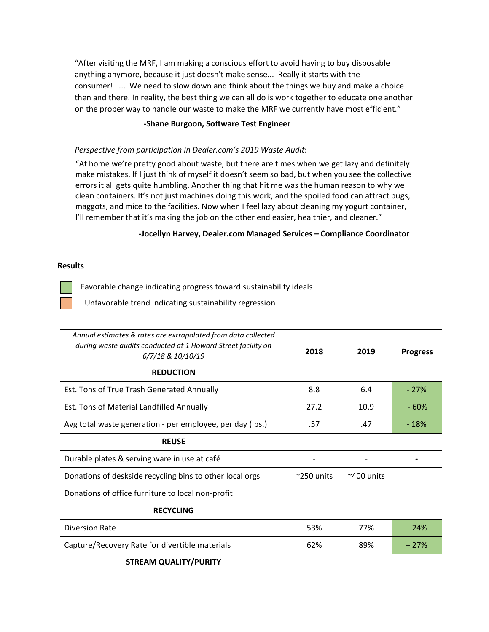"After visiting the MRF, I am making a conscious effort to avoid having to buy disposable anything anymore, because it just doesn't make sense... Really it starts with the consumer! ... We need to slow down and think about the things we buy and make a choice then and there. In reality, the best thing we can all do is work together to educate one another on the proper way to handle our waste to make the MRF we currently have most efficient."

# **-Shane Burgoon, Software Test Engineer**

# *Perspective from participation in Dealer.com's 2019 Waste Audit*:

"At home we're pretty good about waste, but there are times when we get lazy and definitely make mistakes. If I just think of myself it doesn't seem so bad, but when you see the collective errors it all gets quite humbling. Another thing that hit me was the human reason to why we clean containers. It's not just machines doing this work, and the spoiled food can attract bugs, maggots, and mice to the facilities. Now when I feel lazy about cleaning my yogurt container, I'll remember that it's making the job on the other end easier, healthier, and cleaner."

#### **-Jocellyn Harvey, Dealer.com Managed Services – Compliance Coordinator**

#### **Results**

Favorable change indicating progress toward sustainability ideals

Unfavorable trend indicating sustainability regression

| Annual estimates & rates are extrapolated from data collected<br>during waste audits conducted at 1 Howard Street facility on<br>6/7/18 & 10/10/19 | 2018                | 2019              | <b>Progress</b> |
|----------------------------------------------------------------------------------------------------------------------------------------------------|---------------------|-------------------|-----------------|
| <b>REDUCTION</b>                                                                                                                                   |                     |                   |                 |
| Est. Tons of True Trash Generated Annually                                                                                                         | 8.8                 | 6.4               | $-27%$          |
| Est. Tons of Material Landfilled Annually                                                                                                          | 27.2                | 10.9              | $-60%$          |
| Avg total waste generation - per employee, per day (lbs.)                                                                                          | .57                 | .47               | $-18%$          |
| <b>REUSE</b>                                                                                                                                       |                     |                   |                 |
| Durable plates & serving ware in use at café                                                                                                       |                     |                   |                 |
| Donations of deskside recycling bins to other local orgs                                                                                           | $\approx$ 250 units | $~\sim$ 400 units |                 |
| Donations of office furniture to local non-profit                                                                                                  |                     |                   |                 |
| <b>RECYCLING</b>                                                                                                                                   |                     |                   |                 |
| <b>Diversion Rate</b>                                                                                                                              | 53%                 | 77%               | $+24%$          |
| Capture/Recovery Rate for divertible materials                                                                                                     | 62%                 | 89%               | $+27%$          |
| <b>STREAM QUALITY/PURITY</b>                                                                                                                       |                     |                   |                 |